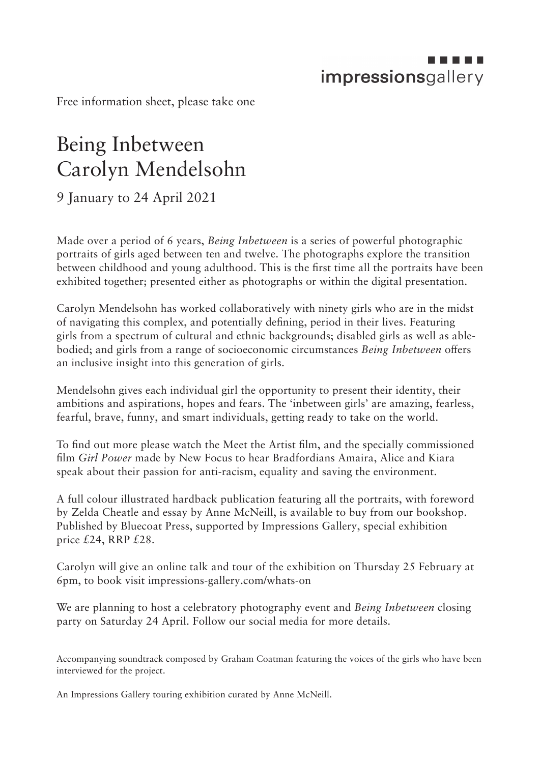## impressionsgallery

Free information sheet, please take one

## Being Inbetween Carolyn Mendelsohn

9 January to 24 April 2021

Made over a period of 6 years, *Being Inbetween* is a series of powerful photographic portraits of girls aged between ten and twelve. The photographs explore the transition between childhood and young adulthood. This is the first time all the portraits have been exhibited together; presented either as photographs or within the digital presentation.

Carolyn Mendelsohn has worked collaboratively with ninety girls who are in the midst of navigating this complex, and potentially defining, period in their lives. Featuring girls from a spectrum of cultural and ethnic backgrounds; disabled girls as well as ablebodied; and girls from a range of socioeconomic circumstances *Being Inbetween* offers an inclusive insight into this generation of girls.

Mendelsohn gives each individual girl the opportunity to present their identity, their ambitions and aspirations, hopes and fears. The 'inbetween girls' are amazing, fearless, fearful, brave, funny, and smart individuals, getting ready to take on the world.

To find out more please watch the Meet the Artist film, and the specially commissioned film *Girl Power* made by New Focus to hear Bradfordians Amaira, Alice and Kiara speak about their passion for anti-racism, equality and saving the environment.

A full colour illustrated hardback publication featuring all the portraits, with foreword by Zelda Cheatle and essay by Anne McNeill, is available to buy from our bookshop. Published by Bluecoat Press, supported by Impressions Gallery, special exhibition price £24, RRP £28.

Carolyn will give an online talk and tour of the exhibition on Thursday 25 February at 6pm, to book visit impressions-gallery.com/whats-on

We are planning to host a celebratory photography event and *Being Inbetween* closing party on Saturday 24 April. Follow our social media for more details.

Accompanying soundtrack composed by Graham Coatman featuring the voices of the girls who have been interviewed for the project.

An Impressions Gallery touring exhibition curated by Anne McNeill.